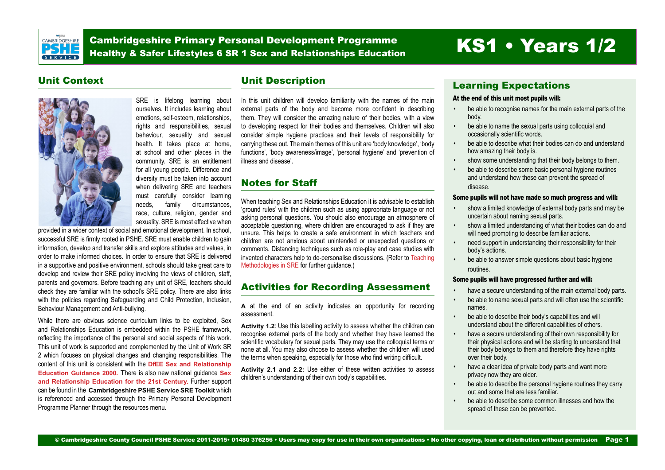<span id="page-0-0"></span>

Cambridgeshire Primary Personal Development Programme Cambridgeshire Primary Personal Development Programme<br>Healthy & Safer Lifestyles 6 SR 1 Sex and Relationships Education KS1 • Years 1/2

### Unit Context



SRE is lifelong learning about ourselves. It includes learning about emotions, self-esteem, relationships, rights and responsibilities, sexual behaviour, sexuality and sexual health. It takes place at home, at school and other places in the community. SRE is an entitlement for all young people. Difference and diversity must be taken into account when delivering SRE and teachers must carefully consider learning needs, family circumstances, race, culture, religion, gender and sexuality. SRE is most effective when

provided in a wider context of social and emotional development. In school, successful SRE is firmly rooted in PSHE. SRE must enable children to gain information, develop and transfer skills and explore attitudes and values, in order to make informed choices. In order to ensure that SRE is delivered in a supportive and positive environment, schools should take great care to develop and review their SRE policy involving the views of children, staff, parents and governors. Before teaching any unit of SRE, teachers should check they are familiar with the school's SRE policy. There are also links with the policies regarding Safeguarding and Child Protection, Inclusion, Behaviour Management and Anti-bullying.

While there are obvious science curriculum links to be exploited, Sex and Relationships Education is embedded within the PSHE framework, reflecting the importance of the personal and social aspects of this work. This unit of work is supported and complemented by the Unit of Work SR 2 which focuses on physical changes and changing responsibilities. The content of this unit is consistent with the **[DfEE Sex and Relationship](https://drive.google.com/open%3Fid%3D0B8aya-vDwpehcUcyRlVfQkFJcEU)  [Education Guidance 2000](https://drive.google.com/open%3Fid%3D0B8aya-vDwpehcUcyRlVfQkFJcEU).** There is also new national guidance **[Sex](https://drive.google.com/open%3Fid%3D0B8aya-vDwpehUGMwRzgwMFpGTU0)  [and Relationship Education for the 21st Century](https://drive.google.com/open%3Fid%3D0B8aya-vDwpehUGMwRzgwMFpGTU0).** Further support can be found in the **Cambridgeshire PSHE Service SRE Toolkit** which is referenced and accessed through the Primary Personal Development Programme Planner through the resources menu.

## Unit Description

In this unit children will develop familiarity with the names of the main external parts of the body and become more confident in describing them. They will consider the amazing nature of their bodies, with a view to developing respect for their bodies and themselves. Children will also consider simple hygiene practices and their levels of responsibility for carrying these out. The main themes of this unit are 'body knowledge', 'body functions', 'body awareness/image', 'personal hygiene' and 'prevention of illness and disease'.

## Notes for Staff

When teaching Sex and Relationships Education it is advisable to establish 'ground rules' with the children such as using appropriate language or not asking personal questions. You should also encourage an atmosphere of acceptable questioning, where children are encouraged to ask if they are unsure. This helps to create a safe environment in which teachers and children are not anxious about unintended or unexpected questions or comments. Distancing techniques such as role-play and case studies with invented characters help to de-personalise discussions. (Refer to [Teaching](https://drive.google.com/open%3Fid%3D0B8aya-vDwpehSmVmQ3llR2Q0Nzg)  [Methodologies in SRE](https://drive.google.com/open%3Fid%3D0B8aya-vDwpehSmVmQ3llR2Q0Nzg) for further guidance.)

## Activities for Recording Assessment

**A** at the end of an activity indicates an opportunity for recording assessment.

**Activity 1.2**: Use this labelling activity to assess whether the children can recognise external parts of the body and whether they have learned the scientific vocabulary for sexual parts. They may use the colloquial terms or none at all. You may also choose to assess whether the children will used the terms when speaking, especially for those who find writing difficult.

**Activity 2.1 and 2.2:** Use either of these written activities to assess children's understanding of their own body's capabilities.

### Learning Expectations

#### At the end of this unit most pupils will:

- be able to recognise names for the main external parts of the body.
- be able to name the sexual parts using colloquial and occasionally scientific words.
- be able to describe what their bodies can do and understand how amazing their body is.
- show some understanding that their body belongs to them.
- be able to describe some basic personal hygiene routines and understand how these can prevent the spread of disease.

#### Some pupils will not have made so much progress and will:

- show a limited knowledge of external body parts and may be uncertain about naming sexual parts.
- show a limited understanding of what their bodies can do and will need prompting to describe familiar actions.
- need support in understanding their responsibility for their body's actions.
- be able to answer simple questions about basic hygiene routines.

#### Some pupils will have progressed further and will:

- have a secure understanding of the main external body parts.
- be able to name sexual parts and will often use the scientific names.
- be able to describe their body's capabilities and will understand about the different capabilities of others.
- have a secure understanding of their own responsibility for their physical actions and will be starting to understand that their body belongs to them and therefore they have rights over their body.
- have a clear idea of private body parts and want more privacy now they are older.
- be able to describe the personal hygiene routines they carry out and some that are less familiar.
- be able to describe some common illnesses and how the spread of these can be prevented.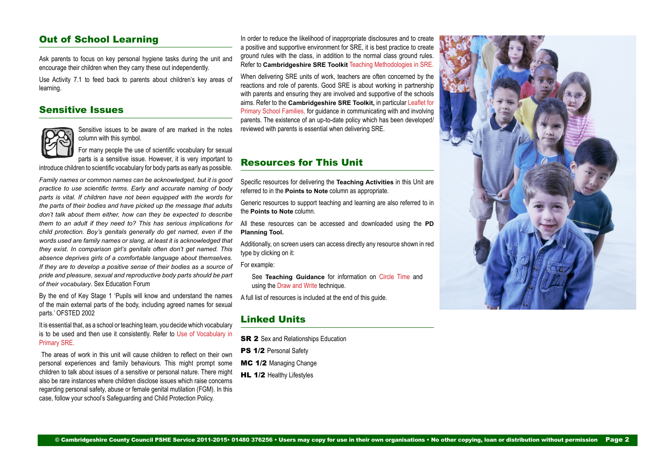### Out of School Learning

Ask parents to focus on key personal hygiene tasks during the unit and encourage their children when they carry these out independently.

Use Activity 7.1 to feed back to parents about children's key areas of learning.

### Sensitive Issues



Sensitive issues to be aware of are marked in the notes column with this symbol.

For many people the use of scientific vocabulary for sexual parts is a sensitive issue. However, it is very important to

introduce children to scientific vocabulary for body parts as early as possible.

*Family names or common names can be acknowledged, but it is good practice to use scientific terms. Early and accurate naming of body parts is vital. If children have not been equipped with the words for the parts of their bodies and have picked up the message that adults don't talk about them either, how can they be expected to describe them to an adult if they need to? This has serious implications for child protection. Boy's genitals generally do get named, even if the words used are family names or slang, at least it is acknowledged that they exist. In comparison girl's genitals often don't get named. This absence deprives girls of a comfortable language about themselves. If they are to develop a positive sense of their bodies as a source of pride and pleasure, sexual and reproductive body parts should be part of their vocabulary*. Sex Education Forum

By the end of Key Stage 1 'Pupils will know and understand the names of the main external parts of the body, including agreed names for sexual parts.' OFSTED 2002

It is essential that, as a school or teaching team, you decide which vocabulary is to be used and then use it consistently. Refer to [Use of Vocabulary in](https://drive.google.com/open%3Fid%3D0B8aya-vDwpehaVpJYjB6bjVPOXc) [Primary SRE.](https://drive.google.com/open%3Fid%3D0B8aya-vDwpehaVpJYjB6bjVPOXc)

 The areas of work in this unit will cause children to reflect on their own personal experiences and family behaviours. This might prompt some children to talk about issues of a sensitive or personal nature. There might also be rare instances where children disclose issues which raise concerns regarding personal safety, abuse or female genital mutilation (FGM). In this case, follow your school's Safeguarding and Child Protection Policy.

In order to reduce the likelihood of inappropriate disclosures and to create a positive and supportive environment for SRE, it is best practice to create ground rules with the class, in addition to the normal class ground rules. Refer to **Cambridgeshire SRE Toolkit** [Teaching Methodologies in SRE.](https://drive.google.com/open%3Fid%3D0B8aya-vDwpehSmVmQ3llR2Q0Nzg)

When delivering SRE units of work, teachers are often concerned by the reactions and role of parents. Good SRE is about working in partnership with parents and ensuring they are involved and supportive of the schools aims. Refer to the **Cambridgeshire SRE Toolkit,** in particular [Leaflet for](https://drive.google.com/open%3Fid%3D0B8aya-vDwpehWDRXUXY5MXE2WXM) [Primary School Families,](https://drive.google.com/open%3Fid%3D0B8aya-vDwpehWDRXUXY5MXE2WXM) for guidance in communicating with and involving parents. The existence of an up-to-date policy which has been developed/ reviewed with parents is essential when delivering SRE.

### Resources for This Unit

Specific resources for delivering the **Teaching Activities** in this Unit are referred to in the **Points to Note** column as appropriate.

Generic resources to support teaching and learning are also referred to in the **Points to Note** column.

All these resources can be accessed and downloaded using the **PD Planning Tool.**

Additionally, on screen users can access directly any resource shown in red type by clicking on it:

For example:

See **Teaching Guidance** for information on Circle Time and using the Draw and Write technique.

A full list of resources is included at the end of this guide.

### Linked Units

**SR 2** Sex and Relationships Education

- PS 1/2 Personal Safety
- MC 1/2 Managing Change
- HL 1/2 Healthy Lifestyles

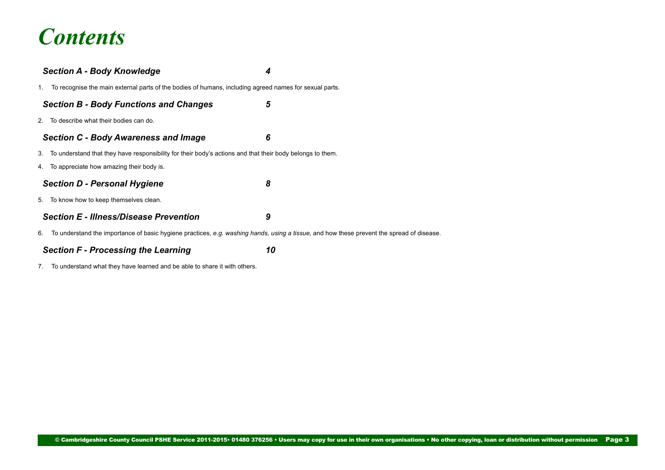# *Contents*

|    | <b>Section A - Body Knowledge</b>                                                                                                         | 4 |
|----|-------------------------------------------------------------------------------------------------------------------------------------------|---|
|    | 1. To recognise the main external parts of the bodies of humans, including agreed names for sexual parts.                                 |   |
|    | <b>Section B - Body Functions and Changes</b>                                                                                             | 5 |
|    | 2. To describe what their bodies can do.                                                                                                  |   |
|    | <b>Section C - Body Awareness and Image</b>                                                                                               | 6 |
|    | 3. To understand that they have responsibility for their body's actions and that their body belongs to them.                              |   |
|    | 4. To appreciate how amazing their body is.                                                                                               |   |
|    | <b>Section D - Personal Hygiene</b>                                                                                                       | 8 |
|    | 5. To know how to keep themselves clean.                                                                                                  |   |
|    | <b>Section E - Illness/Disease Prevention</b>                                                                                             | 9 |
| 6. | To understand the importance of basic hygiene practices, e.g. washing hands, using a tissue, and how these prevent the spread of disease. |   |
|    |                                                                                                                                           |   |

*[Section F - Processing the Learning 10](#page-9-0)*

[7. To understand what they have learned and be able to share it with others.](#page-9-0)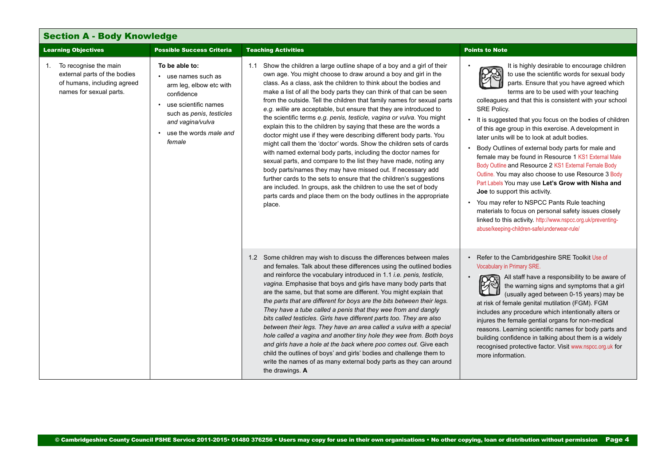<span id="page-3-0"></span>

| <b>Section A - Body Knowledge</b>                                                                                     |                                                                                                                                                                                                               |                                                                                                                                                                                                                                                                                                                                                                                                                                                                                                                                                                                                                                                                                                                                                                                                                                                                                                                                                                                                                                                                                                                                                                    |                                                                                                                                                                                                                                                                                                                                                                                                                                                                                                                                                                                                                                                                                                                                                                                                                                                                                                                                                                                 |
|-----------------------------------------------------------------------------------------------------------------------|---------------------------------------------------------------------------------------------------------------------------------------------------------------------------------------------------------------|--------------------------------------------------------------------------------------------------------------------------------------------------------------------------------------------------------------------------------------------------------------------------------------------------------------------------------------------------------------------------------------------------------------------------------------------------------------------------------------------------------------------------------------------------------------------------------------------------------------------------------------------------------------------------------------------------------------------------------------------------------------------------------------------------------------------------------------------------------------------------------------------------------------------------------------------------------------------------------------------------------------------------------------------------------------------------------------------------------------------------------------------------------------------|---------------------------------------------------------------------------------------------------------------------------------------------------------------------------------------------------------------------------------------------------------------------------------------------------------------------------------------------------------------------------------------------------------------------------------------------------------------------------------------------------------------------------------------------------------------------------------------------------------------------------------------------------------------------------------------------------------------------------------------------------------------------------------------------------------------------------------------------------------------------------------------------------------------------------------------------------------------------------------|
| <b>Learning Objectives</b>                                                                                            | <b>Possible Success Criteria</b>                                                                                                                                                                              | <b>Teaching Activities</b>                                                                                                                                                                                                                                                                                                                                                                                                                                                                                                                                                                                                                                                                                                                                                                                                                                                                                                                                                                                                                                                                                                                                         | <b>Points to Note</b>                                                                                                                                                                                                                                                                                                                                                                                                                                                                                                                                                                                                                                                                                                                                                                                                                                                                                                                                                           |
| To recognise the main<br>1.<br>external parts of the bodies<br>of humans, including agreed<br>names for sexual parts. | To be able to:<br>• use names such as<br>arm leg, elbow etc with<br>confidence<br>• use scientific names<br>such as <i>penis</i> , <i>testicles</i><br>and vagina/vulva<br>• use the words male and<br>female | 1.1 Show the children a large outline shape of a boy and a girl of their<br>own age. You might choose to draw around a boy and girl in the<br>class. As a class, ask the children to think about the bodies and<br>make a list of all the body parts they can think of that can be seen<br>from the outside. Tell the children that family names for sexual parts<br>e.g. willie are acceptable, but ensure that they are introduced to<br>the scientific terms e.g. penis, testicle, vagina or vulva. You might<br>explain this to the children by saying that these are the words a<br>doctor might use if they were describing different body parts. You<br>might call them the 'doctor' words. Show the children sets of cards<br>with named external body parts, including the doctor names for<br>sexual parts, and compare to the list they have made, noting any<br>body parts/names they may have missed out. If necessary add<br>further cards to the sets to ensure that the children's suggestions<br>are included. In groups, ask the children to use the set of body<br>parts cards and place them on the body outlines in the appropriate<br>place. | It is highly desirable to encourage children<br>to use the scientific words for sexual body<br>parts. Ensure that you have agreed which<br>terms are to be used with your teaching<br>colleagues and that this is consistent with your school<br><b>SRE Policy.</b><br>It is suggested that you focus on the bodies of children<br>of this age group in this exercise. A development in<br>later units will be to look at adult bodies.<br>Body Outlines of external body parts for male and<br>female may be found in Resource 1 KS1 External Male<br>Body Outline and Resource 2 KS1 External Female Body<br>Outline. You may also choose to use Resource 3 Body<br>Part Labels You may use Let's Grow with Nisha and<br>Joe to support this activity.<br>• You may refer to NSPCC Pants Rule teaching<br>materials to focus on personal safety issues closely<br>linked to this activity. http://www.nspcc.org.uk/preventing-<br>abuse/keeping-children-safe/underwear-rule/ |
|                                                                                                                       |                                                                                                                                                                                                               | 1.2 Some children may wish to discuss the differences between males<br>and females. Talk about these differences using the outlined bodies<br>and reinforce the vocabulary introduced in 1.1 <i>i.e. penis, testicle,</i><br>vagina. Emphasise that boys and girls have many body parts that<br>are the same, but that some are different. You might explain that<br>the parts that are different for boys are the bits between their legs.<br>They have a tube called a penis that they wee from and dangly<br>bits called testicles. Girls have different parts too. They are also<br>between their legs. They have an area called a vulva with a special<br>hole called a vagina and another tiny hole they wee from. Both boys<br>and girls have a hole at the back where poo comes out. Give each<br>child the outlines of boys' and girls' bodies and challenge them to<br>write the names of as many external body parts as they can around<br>the drawings. A                                                                                                                                                                                              | • Refer to the Cambridgeshire SRE Toolkit Use of<br>Vocabulary in Primary SRE.<br>All staff have a responsibility to be aware of<br>the warning signs and symptoms that a girl<br>(usually aged between 0-15 years) may be<br>at risk of female genital mutilation (FGM). FGM<br>includes any procedure which intentionally alters or<br>injures the female gential organs for non-medical<br>reasons. Learning scientific names for body parts and<br>building confidence in talking about them is a widely<br>recognised protective factor. Visit www.nspcc.org.uk for<br>more information.                                                                                                                                                                                                                                                                                                                                                                                   |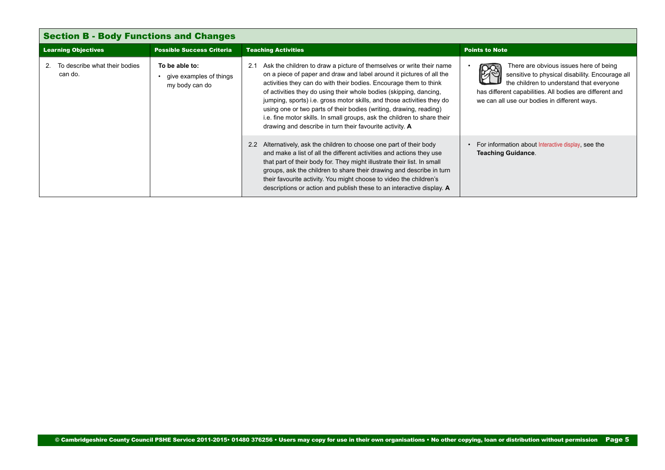<span id="page-4-0"></span>

| <b>Section B - Body Functions and Changes</b>  |                                                             |                                                                                                                                                                                                                                                                                                                                                                                                                                                                                                                                                                                        |                                                                                                                                                                                                                                                   |
|------------------------------------------------|-------------------------------------------------------------|----------------------------------------------------------------------------------------------------------------------------------------------------------------------------------------------------------------------------------------------------------------------------------------------------------------------------------------------------------------------------------------------------------------------------------------------------------------------------------------------------------------------------------------------------------------------------------------|---------------------------------------------------------------------------------------------------------------------------------------------------------------------------------------------------------------------------------------------------|
| <b>Learning Objectives</b>                     | <b>Possible Success Criteria</b>                            | <b>Teaching Activities</b>                                                                                                                                                                                                                                                                                                                                                                                                                                                                                                                                                             | <b>Points to Note</b>                                                                                                                                                                                                                             |
| To describe what their bodies<br>2.<br>can do. | To be able to:<br>give examples of things<br>my body can do | Ask the children to draw a picture of themselves or write their name<br>2.1<br>on a piece of paper and draw and label around it pictures of all the<br>activities they can do with their bodies. Encourage them to think<br>of activities they do using their whole bodies (skipping, dancing,<br>jumping, sports) i.e. gross motor skills, and those activities they do<br>using one or two parts of their bodies (writing, drawing, reading)<br>i.e. fine motor skills. In small groups, ask the children to share their<br>drawing and describe in turn their favourite activity. A | There are obvious issues here of being<br>sensitive to physical disability. Encourage all<br>the children to understand that everyone<br>has different capabilities. All bodies are different and<br>we can all use our bodies in different ways. |
|                                                |                                                             | Alternatively, ask the children to choose one part of their body<br>2.2<br>and make a list of all the different activities and actions they use<br>that part of their body for. They might illustrate their list. In small<br>groups, ask the children to share their drawing and describe in turn<br>their favourite activity. You might choose to video the children's<br>descriptions or action and publish these to an interactive display. A                                                                                                                                      | For information about Interactive display, see the<br><b>Teaching Guidance.</b>                                                                                                                                                                   |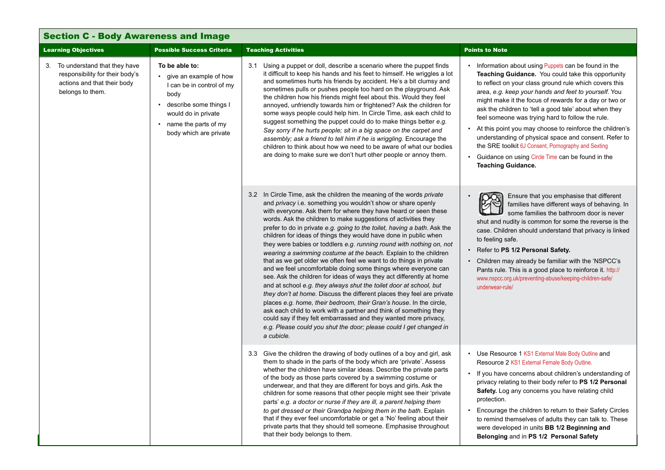<span id="page-5-0"></span>

| <b>Section C - Body Awareness and Image</b>                                                                           |                                                                                                                                                                                        |                                                                                                                                                                                                                                                                                                                                                                                                                                                                                                                                                                                                                                                                                                                                                                                                                                                                               |                                                                                                                                                                                                                                                                                                                                                                                                                                                                                                                                                                                                                                                                   |                                                                                                                                                                                                                                                                                                                                                                                                                                                                                                                                                                                                                                                                                                                                                                                                                                                                                                                                                                                                                                                                                                                                                                                                                                     |                                                                                                                                                                                                                                                                                                                                                                                                                                                                                                                    |
|-----------------------------------------------------------------------------------------------------------------------|----------------------------------------------------------------------------------------------------------------------------------------------------------------------------------------|-------------------------------------------------------------------------------------------------------------------------------------------------------------------------------------------------------------------------------------------------------------------------------------------------------------------------------------------------------------------------------------------------------------------------------------------------------------------------------------------------------------------------------------------------------------------------------------------------------------------------------------------------------------------------------------------------------------------------------------------------------------------------------------------------------------------------------------------------------------------------------|-------------------------------------------------------------------------------------------------------------------------------------------------------------------------------------------------------------------------------------------------------------------------------------------------------------------------------------------------------------------------------------------------------------------------------------------------------------------------------------------------------------------------------------------------------------------------------------------------------------------------------------------------------------------|-------------------------------------------------------------------------------------------------------------------------------------------------------------------------------------------------------------------------------------------------------------------------------------------------------------------------------------------------------------------------------------------------------------------------------------------------------------------------------------------------------------------------------------------------------------------------------------------------------------------------------------------------------------------------------------------------------------------------------------------------------------------------------------------------------------------------------------------------------------------------------------------------------------------------------------------------------------------------------------------------------------------------------------------------------------------------------------------------------------------------------------------------------------------------------------------------------------------------------------|--------------------------------------------------------------------------------------------------------------------------------------------------------------------------------------------------------------------------------------------------------------------------------------------------------------------------------------------------------------------------------------------------------------------------------------------------------------------------------------------------------------------|
| <b>Learning Objectives</b>                                                                                            | <b>Possible Success Criteria</b>                                                                                                                                                       | <b>Teaching Activities</b>                                                                                                                                                                                                                                                                                                                                                                                                                                                                                                                                                                                                                                                                                                                                                                                                                                                    | <b>Points to Note</b>                                                                                                                                                                                                                                                                                                                                                                                                                                                                                                                                                                                                                                             |                                                                                                                                                                                                                                                                                                                                                                                                                                                                                                                                                                                                                                                                                                                                                                                                                                                                                                                                                                                                                                                                                                                                                                                                                                     |                                                                                                                                                                                                                                                                                                                                                                                                                                                                                                                    |
| 3. To understand that they have<br>responsibility for their body's<br>actions and that their body<br>belongs to them. | To be able to:<br>• give an example of how<br>I can be in control of my<br>body<br>• describe some things I<br>would do in private<br>• name the parts of my<br>body which are private | 3.1 Using a puppet or doll, describe a scenario where the puppet finds<br>it difficult to keep his hands and his feet to himself. He wriggles a lot<br>and sometimes hurts his friends by accident. He's a bit clumsy and<br>sometimes pulls or pushes people too hard on the playground. Ask<br>the children how his friends might feel about this. Would they feel<br>annoyed, unfriendly towards him or frightened? Ask the children for<br>some ways people could help him. In Circle Time, ask each child to<br>suggest something the puppet could do to make things better e.g.<br>Say sorry if he hurts people; sit in a big space on the carpet and<br>assembly; ask a friend to tell him if he is wriggling. Encourage the<br>children to think about how we need to be aware of what our bodies<br>are doing to make sure we don't hurt other people or annoy them. | Information about using Puppets can be found in the<br>Teaching Guidance. You could take this opportunity<br>to reflect on your class ground rule which covers this<br>area, e.g. keep your hands and feet to yourself. You<br>might make it the focus of rewards for a day or two or<br>ask the children to 'tell a good tale' about when they<br>feel someone was trying hard to follow the rule.<br>At this point you may choose to reinforce the children's<br>understanding of physical space and consent. Refer to<br>the SRE toolkit 6J Consent, Pornography and Sexting<br>Guidance on using Circle Time can be found in the<br><b>Teaching Guidance.</b> |                                                                                                                                                                                                                                                                                                                                                                                                                                                                                                                                                                                                                                                                                                                                                                                                                                                                                                                                                                                                                                                                                                                                                                                                                                     |                                                                                                                                                                                                                                                                                                                                                                                                                                                                                                                    |
|                                                                                                                       |                                                                                                                                                                                        |                                                                                                                                                                                                                                                                                                                                                                                                                                                                                                                                                                                                                                                                                                                                                                                                                                                                               | a cubicle.                                                                                                                                                                                                                                                                                                                                                                                                                                                                                                                                                                                                                                                        | 3.2 In Circle Time, ask the children the meaning of the words <i>private</i><br>and privacy i.e. something you wouldn't show or share openly<br>with everyone. Ask them for where they have heard or seen these<br>words. Ask the children to make suggestions of activities they<br>prefer to do in private e.g. going to the toilet, having a bath. Ask the<br>children for ideas of things they would have done in public when<br>they were babies or toddlers e.g. running round with nothing on, not<br>wearing a swimming costume at the beach. Explain to the children<br>that as we get older we often feel we want to do things in private<br>and we feel uncomfortable doing some things where everyone can<br>see. Ask the children for ideas of ways they act differently at home<br>and at school e.g. they always shut the toilet door at school, but<br>they don't at home. Discuss the different places they feel are private<br>places e.g. home, their bedroom, their Gran's house. In the circle,<br>ask each child to work with a partner and think of something they<br>could say if they felt embarrassed and they wanted more privacy,<br>e.g. Please could you shut the door; please could I get changed in | Ensure that you emphasise that different<br>families have different ways of behaving. In<br>some families the bathroom door is never<br>shut and nudity is common for some the reverse is the<br>case. Children should understand that privacy is linked<br>to feeling safe.<br>Refer to PS 1/2 Personal Safety.<br>Children may already be familiar with the 'NSPCC's<br>Pants rule. This is a good place to reinforce it. http://<br>www.nspcc.org.uk/preventing-abuse/keeping-children-safe/<br>underwear-rule/ |
|                                                                                                                       |                                                                                                                                                                                        | 3.3 Give the children the drawing of body outlines of a boy and girl, ask<br>them to shade in the parts of the body which are 'private'. Assess<br>whether the children have similar ideas. Describe the private parts<br>of the body as those parts covered by a swimming costume or<br>underwear, and that they are different for boys and girls. Ask the<br>children for some reasons that other people might see their 'private<br>parts' e.g. a doctor or nurse if they are ill, a parent helping them<br>to get dressed or their Grandpa helping them in the bath. Explain<br>that if they ever feel uncomfortable or get a 'No' feeling about their<br>private parts that they should tell someone. Emphasise throughout<br>that their body belongs to them.                                                                                                           | Use Resource 1 KS1 External Male Body Outline and<br>$\bullet$<br>Resource 2 KS1 External Female Body Outline.<br>If you have concerns about children's understanding of<br>$\bullet$<br>privacy relating to their body refer to PS 1/2 Personal<br>Safety. Log any concerns you have relating child<br>protection.<br>Encourage the children to return to their Safety Circles<br>to remind themselves of adults they can talk to. These<br>were developed in units BB 1/2 Beginning and<br>Belonging and in PS 1/2 Personal Safety                                                                                                                              |                                                                                                                                                                                                                                                                                                                                                                                                                                                                                                                                                                                                                                                                                                                                                                                                                                                                                                                                                                                                                                                                                                                                                                                                                                     |                                                                                                                                                                                                                                                                                                                                                                                                                                                                                                                    |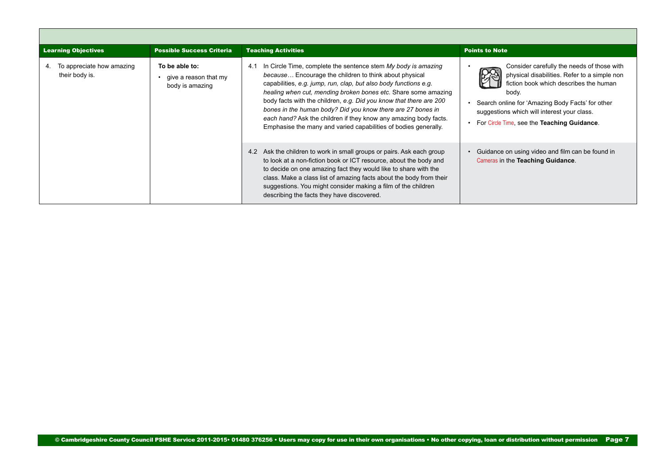<span id="page-6-0"></span>

| <b>Learning Objectives</b>                  | <b>Possible Success Criteria</b>                                   | <b>Teaching Activities</b>                                                                                                                                                                                                                                                                                                                                                                                                                                                                                                                       | <b>Points to Note</b>                                                                                                                                                                                                                                                                           |  |
|---------------------------------------------|--------------------------------------------------------------------|--------------------------------------------------------------------------------------------------------------------------------------------------------------------------------------------------------------------------------------------------------------------------------------------------------------------------------------------------------------------------------------------------------------------------------------------------------------------------------------------------------------------------------------------------|-------------------------------------------------------------------------------------------------------------------------------------------------------------------------------------------------------------------------------------------------------------------------------------------------|--|
| To appreciate how amazing<br>their body is. | To be able to:<br>$\cdot$ give a reason that my<br>body is amazing | In Circle Time, complete the sentence stem My body is amazing<br>4.1<br>because Encourage the children to think about physical<br>capabilities, e.g. jump, run, clap, but also body functions e.g.<br>healing when cut, mending broken bones etc. Share some amazing<br>body facts with the children, e.g. Did you know that there are 200<br>bones in the human body? Did you know there are 27 bones in<br>each hand? Ask the children if they know any amazing body facts.<br>Emphasise the many and varied capabilities of bodies generally. | Consider carefully the needs of those with<br>physical disabilities. Refer to a simple non<br>fiction book which describes the human<br>body.<br>Search online for 'Amazing Body Facts' for other<br>suggestions which will interest your class.<br>For Circle Time, see the Teaching Guidance. |  |
|                                             |                                                                    | Ask the children to work in small groups or pairs. Ask each group<br>4.2<br>to look at a non-fiction book or ICT resource, about the body and<br>to decide on one amazing fact they would like to share with the<br>class. Make a class list of amazing facts about the body from their<br>suggestions. You might consider making a film of the children<br>describing the facts they have discovered.                                                                                                                                           | Guidance on using video and film can be found in<br>Cameras in the Teaching Guidance.                                                                                                                                                                                                           |  |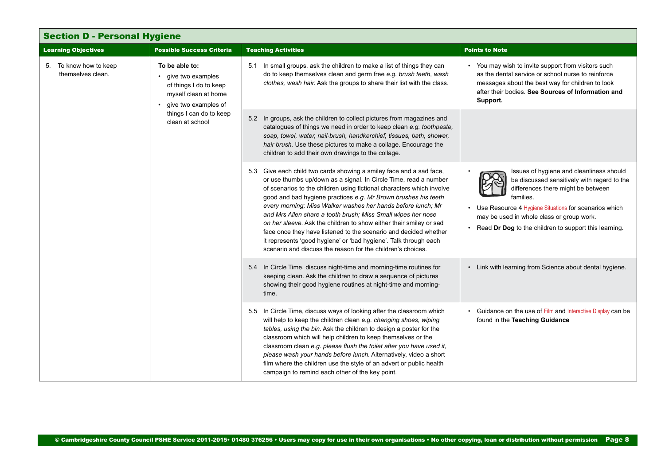<span id="page-7-0"></span>

| <b>Section D - Personal Hygiene</b>         |                                                                                                                 |                                                                                                                                                                                                                                                                                                                                                                                                                                                                                                                                                                                                                                                                                                 |                                                                                                                                                                                                                                                                                                           |
|---------------------------------------------|-----------------------------------------------------------------------------------------------------------------|-------------------------------------------------------------------------------------------------------------------------------------------------------------------------------------------------------------------------------------------------------------------------------------------------------------------------------------------------------------------------------------------------------------------------------------------------------------------------------------------------------------------------------------------------------------------------------------------------------------------------------------------------------------------------------------------------|-----------------------------------------------------------------------------------------------------------------------------------------------------------------------------------------------------------------------------------------------------------------------------------------------------------|
| <b>Learning Objectives</b>                  | <b>Possible Success Criteria</b>                                                                                | <b>Teaching Activities</b>                                                                                                                                                                                                                                                                                                                                                                                                                                                                                                                                                                                                                                                                      | <b>Points to Note</b>                                                                                                                                                                                                                                                                                     |
| 5. To know how to keep<br>themselves clean. | To be able to:<br>• give two examples<br>of things I do to keep<br>myself clean at home<br>give two examples of | 5.1 In small groups, ask the children to make a list of things they can<br>do to keep themselves clean and germ free e.g. brush teeth, wash<br>clothes, wash hair. Ask the groups to share their list with the class.                                                                                                                                                                                                                                                                                                                                                                                                                                                                           | You may wish to invite support from visitors such<br>as the dental service or school nurse to reinforce<br>messages about the best way for children to look<br>after their bodies. See Sources of Information and<br>Support.                                                                             |
|                                             | things I can do to keep<br>clean at school                                                                      | 5.2 In groups, ask the children to collect pictures from magazines and<br>catalogues of things we need in order to keep clean e.g. toothpaste,<br>soap, towel, water, nail-brush, handkerchief, tissues, bath, shower,<br>hair brush. Use these pictures to make a collage. Encourage the<br>children to add their own drawings to the collage.                                                                                                                                                                                                                                                                                                                                                 |                                                                                                                                                                                                                                                                                                           |
|                                             |                                                                                                                 | 5.3 Give each child two cards showing a smiley face and a sad face,<br>or use thumbs up/down as a signal. In Circle Time, read a number<br>of scenarios to the children using fictional characters which involve<br>good and bad hygiene practices e.g. Mr Brown brushes his teeth<br>every morning; Miss Walker washes her hands before lunch; Mr<br>and Mrs Allen share a tooth brush; Miss Small wipes her nose<br>on her sleeve. Ask the children to show either their smiley or sad<br>face once they have listened to the scenario and decided whether<br>it represents 'good hygiene' or 'bad hygiene'. Talk through each<br>scenario and discuss the reason for the children's choices. | Issues of hygiene and cleanliness should<br>be discussed sensitively with regard to the<br>differences there might be between<br>families.<br>Use Resource 4 Hygiene Situations for scenarios which<br>may be used in whole class or group work.<br>Read Dr Dog to the children to support this learning. |
|                                             |                                                                                                                 | 5.4 In Circle Time, discuss night-time and morning-time routines for<br>keeping clean. Ask the children to draw a sequence of pictures<br>showing their good hygiene routines at night-time and morning-<br>time.                                                                                                                                                                                                                                                                                                                                                                                                                                                                               | Link with learning from Science about dental hygiene.                                                                                                                                                                                                                                                     |
|                                             |                                                                                                                 | 5.5 In Circle Time, discuss ways of looking after the classroom which<br>will help to keep the children clean e.g. changing shoes, wiping<br>tables, using the bin. Ask the children to design a poster for the<br>classroom which will help children to keep themselves or the<br>classroom clean e.g. please flush the toilet after you have used it,<br>please wash your hands before lunch. Alternatively, video a short<br>film where the children use the style of an advert or public health<br>campaign to remind each other of the key point.                                                                                                                                          | Guidance on the use of Film and Interactive Display can be<br>found in the Teaching Guidance                                                                                                                                                                                                              |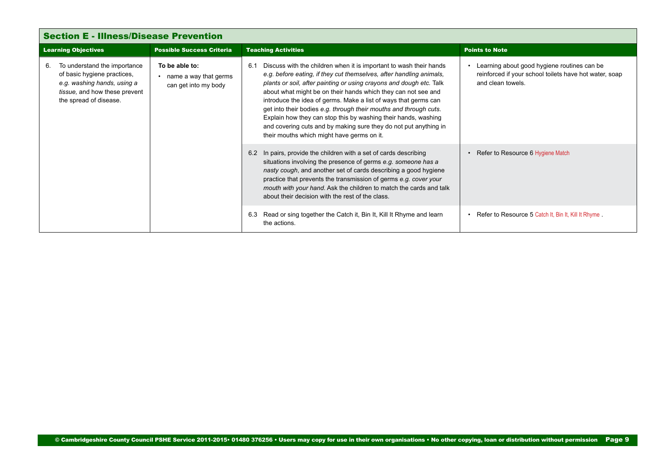<span id="page-8-0"></span>

| <b>Section E - Illness/Disease Prevention</b>                                                                                                               |                                                                 |                                                                                                                                                                                                                                                                                                                                                                                                                                                                                                                                                                                                                      |                                                                                                                            |  |
|-------------------------------------------------------------------------------------------------------------------------------------------------------------|-----------------------------------------------------------------|----------------------------------------------------------------------------------------------------------------------------------------------------------------------------------------------------------------------------------------------------------------------------------------------------------------------------------------------------------------------------------------------------------------------------------------------------------------------------------------------------------------------------------------------------------------------------------------------------------------------|----------------------------------------------------------------------------------------------------------------------------|--|
| <b>Learning Objectives</b>                                                                                                                                  | <b>Possible Success Criteria</b>                                | <b>Teaching Activities</b>                                                                                                                                                                                                                                                                                                                                                                                                                                                                                                                                                                                           | <b>Points to Note</b>                                                                                                      |  |
| To understand the importance<br>6.<br>of basic hygiene practices,<br>e.g. washing hands, using a<br>tissue, and how these prevent<br>the spread of disease. | To be able to:<br>name a way that germs<br>can get into my body | Discuss with the children when it is important to wash their hands<br>6.1<br>e.g. before eating, if they cut themselves, after handling animals,<br>plants or soil, after painting or using crayons and dough etc. Talk<br>about what might be on their hands which they can not see and<br>introduce the idea of germs. Make a list of ways that germs can<br>get into their bodies e.g. through their mouths and through cuts.<br>Explain how they can stop this by washing their hands, washing<br>and covering cuts and by making sure they do not put anything in<br>their mouths which might have germs on it. | Learning about good hygiene routines can be<br>reinforced if your school toilets have hot water, soap<br>and clean towels. |  |
|                                                                                                                                                             |                                                                 | In pairs, provide the children with a set of cards describing<br>6.2<br>situations involving the presence of germs e.g. someone has a<br>nasty cough, and another set of cards describing a good hygiene<br>practice that prevents the transmission of germs e.g. cover your<br>mouth with your hand. Ask the children to match the cards and talk<br>about their decision with the rest of the class.                                                                                                                                                                                                               | Refer to Resource 6 Hygiene Match                                                                                          |  |
|                                                                                                                                                             |                                                                 | Read or sing together the Catch it, Bin It, Kill It Rhyme and learn<br>6.3<br>the actions.                                                                                                                                                                                                                                                                                                                                                                                                                                                                                                                           | Refer to Resource 5 Catch It, Bin It, Kill It Rhyme.                                                                       |  |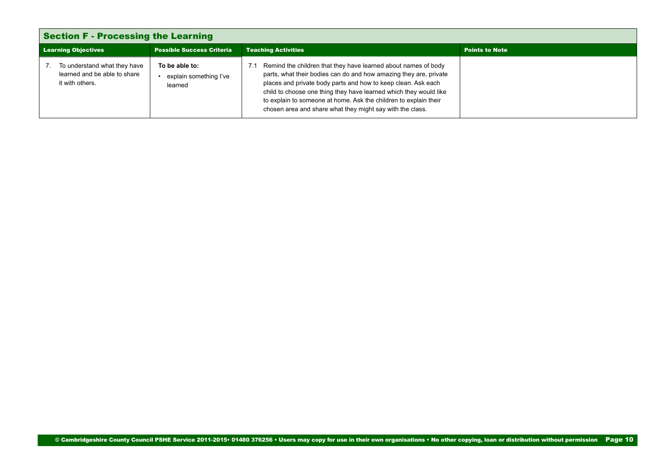<span id="page-9-0"></span>

| <b>Section F - Processing the Learning</b>                                      |                                                     |                                                                                                                                                                                                                                                                                                                                                                                                            |                       |
|---------------------------------------------------------------------------------|-----------------------------------------------------|------------------------------------------------------------------------------------------------------------------------------------------------------------------------------------------------------------------------------------------------------------------------------------------------------------------------------------------------------------------------------------------------------------|-----------------------|
| <b>Learning Objectives</b><br><b>Possible Success Criteria</b>                  |                                                     | <b>Teaching Activities</b>                                                                                                                                                                                                                                                                                                                                                                                 | <b>Points to Note</b> |
| To understand what they have<br>learned and be able to share<br>it with others. | To be able to:<br>explain something I've<br>learned | Remind the children that they have learned about names of body<br>parts, what their bodies can do and how amazing they are, private<br>places and private body parts and how to keep clean. Ask each<br>child to choose one thing they have learned which they would like<br>to explain to someone at home. Ask the children to explain their<br>chosen area and share what they might say with the class. |                       |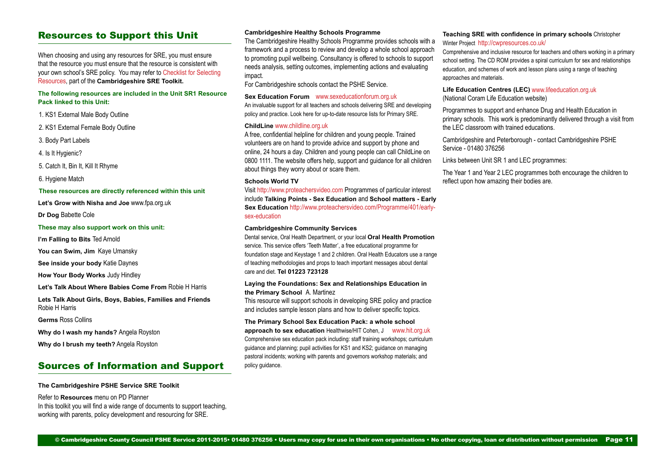### Resources to Support this Unit

When choosing and using any resources for SRE, you must ensure that the resource you must ensure that the resource is consistent with your own school's SRE policy. You may refer to [Checklist for Selecting](https://drive.google.com/open%3Fid%3D0B8aya-vDwpehc0ZOazk5UTd1Sms)  [Resources,](https://drive.google.com/open%3Fid%3D0B8aya-vDwpehc0ZOazk5UTd1Sms) part of the **Cambridgeshire SRE Toolkit.**

### **The following resources are included in the Unit SR1 Resource Pack linked to this Unit:**

1. KS1 External Male Body Outline

2. KS1 External Female Body Outline

3. Body Part Labels

4. Is It Hygienic?

5. Catch It, Bin It, Kill It Rhyme

6. Hygiene Match

#### **These resources are directly referenced within this unit**

**Let's Grow with Nisha and Joe** www.fpa.org.uk

**Dr Dog** Babette Cole

#### **These may also support work on this unit:**

**I'm Falling to Bits** Ted Arnold

**You can Swim, Jim** Kaye Umansky

**See inside your body** Katie Daynes

**How Your Body Works** Judy Hindley

**Let's Talk About Where Babies Come From** Robie H Harris

**Lets Talk About Girls, Boys, Babies, Families and Friends**  Robie H Harris

**Germs** Ross Collins

**Why do I wash my hands?** Angela Royston

**Why do I brush my teeth?** Angela Royston

### Sources of Information and Support

**The Cambridgeshire PSHE Service SRE Toolkit**

Refer to **Resources** menu on PD Planner In this toolkit you will find a wide range of documents to support teaching. working with parents, policy development and resourcing for SRE.

#### **Cambridgeshire Healthy Schools Programme**

The Cambridgeshire Healthy Schools Programme provides schools with a framework and a process to review and develop a whole school approach to promoting pupil wellbeing. Consultancy is offered to schools to support needs analysis, setting outcomes, implementing actions and evaluating impact.

For Cambridgeshire schools contact the PSHE Service.

#### **Sex Education Forum <b>WWW.sexeducationforum.org.uk**

An invaluable support for all teachers and schools delivering SRE and developing policy and practice. Look here for up-to-date resource lists for Primary SRE.

### **ChildLine** <www.childline.org.uk>

A free, confidential helpline for children and young people. Trained volunteers are on hand to provide advice and support by phone and online, 24 hours a day. Children and young people can call ChildLine on 0800 1111. The website offers help, support and guidance for all children about things they worry about or scare them.

#### **Schools World TV**

Visit <http://www.proteachersvideo.com> Programmes of particular interest include **Talking Points - Sex Education** and **School matters - Early Sex Education** [http://www.proteachersvideo.com/Programme/401/early](http://www.proteachersvideo.com/Programme/401/early-sex-education)[sex-education](http://www.proteachersvideo.com/Programme/401/early-sex-education)

#### **Cambridgeshire Community Services**

Dental service, Oral Health Department, or your local **Oral Health Promotion**  service. This service offers 'Teeth Matter', a free educational programme for foundation stage and Keystage 1 and 2 children. Oral Health Educators use a range of teaching methodologies and props to teach important messages about dental care and diet. **Tel 01223 723128**

#### **Laying the Foundations: Sex and Relationships Education in the Primary School** A. Martinez

This resource will support schools in developing SRE policy and practice and includes sample lesson plans and how to deliver specific topics.

#### **The Primary School Sex Education Pack: a whole school**

**approach to sex education** Healthwise/HIT Cohen, J [www.hit.org.uk](http://www.hit.org.uk) Comprehensive sex education pack including: staff training workshops; curriculum guidance and planning; pupil activities for KS1 and KS2; guidance on managing pastoral incidents; working with parents and governors workshop materials; and policy guidance.

#### **Teaching SRE with confidence in primary schools** Christopher Winter Project <http://cwpresources.co.uk/>

Comprehensive and inclusive resource for teachers and others working in a primary school setting. The CD ROM provides a spiral curriculum for sex and relationships education, and schemes of work and lesson plans using a range of teaching approaches and materials.

#### **Life Education Centres (LEC)** [www.lifeeducation.org.uk](http://www.coram.org.uk/) (National Coram Life Education website)

Programmes to support and enhance Drug and Health Education in primary schools. This work is predominantly delivered through a visit from the LEC classroom with trained educations.

Cambridgeshire and Peterborough - contact Cambridgeshire PSHE Service - 01480 376256

Links between Unit SR 1 and LEC programmes:

The Year 1 and Year 2 LEC programmes both encourage the children to reflect upon how amazing their bodies are.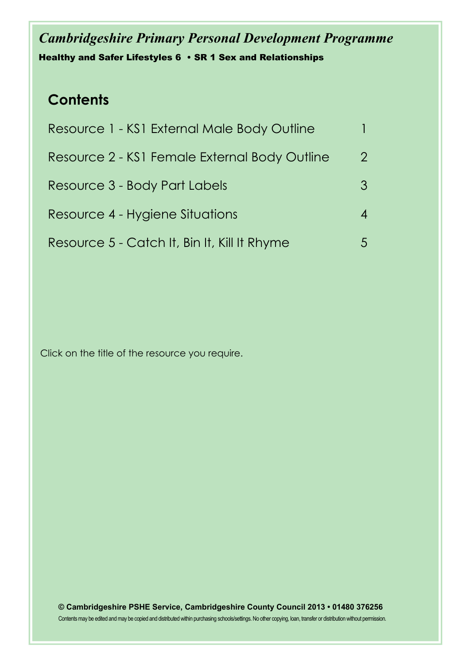## *Cambridgeshire Primary Personal Development Programme* Healthy and Safer Lifestyles 6 • SR 1 Sex and Relationships

## **Contents**

| Resource 1 - KS1 External Male Body Outline   |             |
|-----------------------------------------------|-------------|
| Resource 2 - KS1 Female External Body Outline | $2^{\circ}$ |
| Resource 3 - Body Part Labels                 |             |
| Resource 4 - Hygiene Situations               |             |
| Resource 5 - Catch It, Bin It, Kill It Rhyme  |             |
|                                               |             |

Click on the title of the resource you require.

**© Cambridgeshire PSHE Service, Cambridgeshire County Council 2013 • 01480 376256** Contents may be edited and may be copied and distributed within purchasing schools/settings. No other copying, loan, transfer or distribution without permission.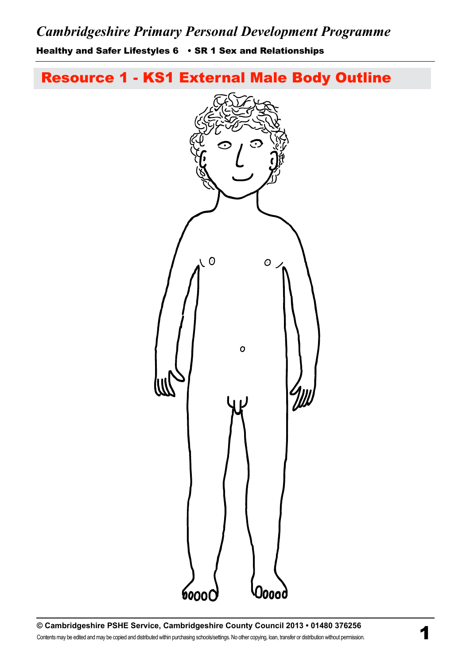<span id="page-12-0"></span>Healthy and Safer Lifestyles 6 • SR 1 Sex and Relationships

[Resource 1 - KS1 External Male Body Outline](#page-3-0)

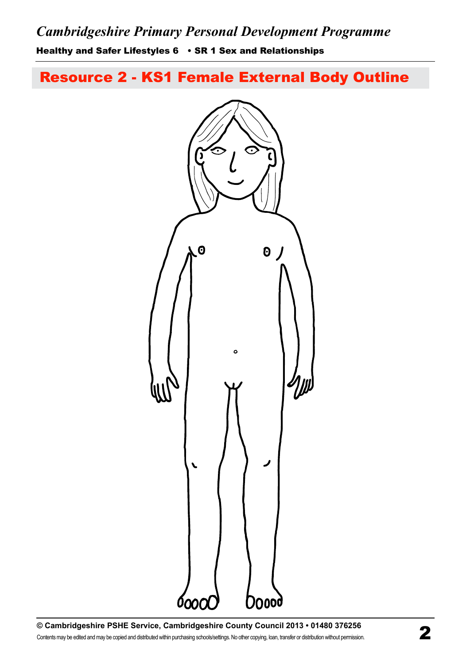<span id="page-13-0"></span>Healthy and Safer Lifestyles 6 • SR 1 Sex and Relationships

[Resource 2 - KS1 Female External Body Outline](#page-3-0)

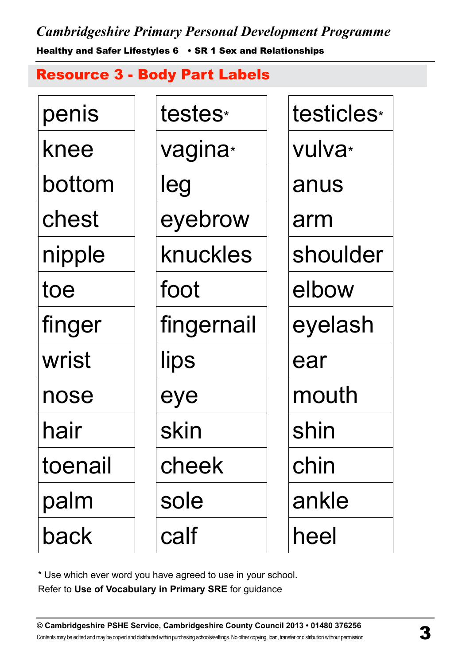<span id="page-14-0"></span>*Cambridgeshire Primary Personal Development Programme* Healthy and Safer Lifestyles 6 • SR 1 Sex and Relationships

[Resource 3 - Body Part Labels](#page-0-0)

| penis   | testes*             | testicles <sup>*</sup> |
|---------|---------------------|------------------------|
| knee    | vagina <sup>*</sup> | vulva <sup>*</sup>     |
| bottom  | leg                 | anus                   |
| chest   | eyebrow             | arm                    |
| nipple  | knuckles            | shoulder               |
| toe     | foot                | elbow                  |
| finger  | fingernail          | eyelash                |
| wrist   | lips                | ear                    |
| nose    | eye                 | mouth                  |
| hair    | skin                | shin                   |
| toenail | cheek               | chin                   |
| palm    | sole                | ankle                  |
| back    | calf                | heel                   |

\* Use which ever word you have agreed to use in your school.

Refer to **Use of Vocabulary in Primary SRE** for guidance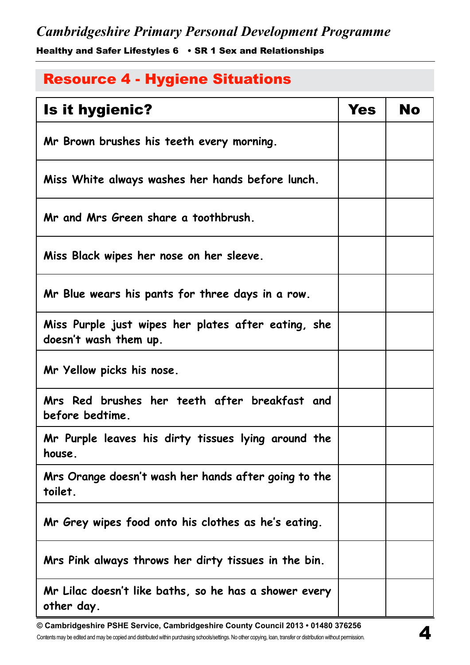<span id="page-15-0"></span>Healthy and Safer Lifestyles 6 • SR 1 Sex and Relationships

## [Resource 4 - Hygiene Situations](#page-7-0)

| <b>Is it hygienic?</b>                                                       | <b>Yes</b> | No |
|------------------------------------------------------------------------------|------------|----|
| Mr Brown brushes his teeth every morning.                                    |            |    |
| Miss White always washes her hands before lunch.                             |            |    |
| Mr and Mrs Green share a toothbrush.                                         |            |    |
| Miss Black wipes her nose on her sleeve.                                     |            |    |
| Mr Blue wears his pants for three days in a row.                             |            |    |
| Miss Purple just wipes her plates after eating, she<br>doesn't wash them up. |            |    |
| Mr Yellow picks his nose.                                                    |            |    |
| Mrs Red brushes her teeth after breakfast and<br>before bedtime.             |            |    |
| Mr Purple leaves his dirty tissues lying around the<br>house.                |            |    |
| Mrs Orange doesn't wash her hands after going to the<br>toilet.              |            |    |
| Mr Grey wipes food onto his clothes as he's eating.                          |            |    |
| Mrs Pink always throws her dirty tissues in the bin.                         |            |    |
| Mr Lilac doesn't like baths, so he has a shower every<br>other day.          |            |    |

**© Cambridgeshire PSHE Service, Cambridgeshire County Council 2013 • 01480 376256** Contents may be edited and may be copied and distributed within purchasing schools/settings. No other copying, loan, transfer or distribution without permission.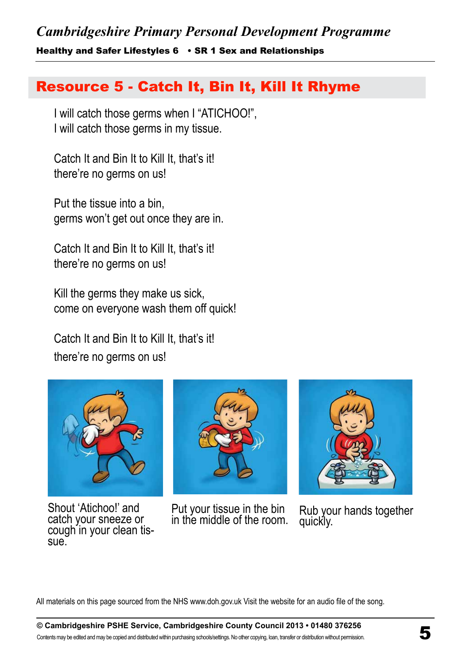<span id="page-16-0"></span>Healthy and Safer Lifestyles 6 • SR 1 Sex and Relationships

## [Resource 5 - Catch It, Bin It, Kill It Rhyme](#page-8-0)

I will catch those germs when I "ATICHOO!", I will catch those germs in my tissue.

Catch It and Bin It to Kill It, that's it! there're no germs on us!

Put the tissue into a bin, germs won't get out once they are in.

Catch It and Bin It to Kill It, that's it! there're no germs on us!

Kill the germs they make us sick, come on everyone wash them off quick!

Catch It and Bin It to Kill It, that's it! there're no germs on us!



Shout 'Atichoo!' and catch your sneeze or cough in your clean tis-<br>sue.



Put your tissue in the bin<br>in the middle of the room.



Rub your hands together quickly.

All materials on this page sourced from the NHS www.doh.gov.uk Visit the website for an audio file of the song.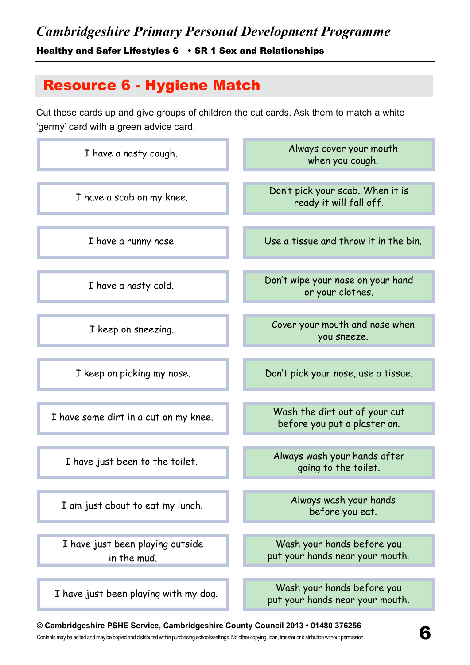## <span id="page-17-0"></span>Healthy and Safer Lifestyles 6 • SR 1 Sex and Relationships

## [Resource 6 - Hygiene Match](#page-8-0)

Cut these cards up and give groups of children the cut cards. Ask them to match a white 'germy' card with a green advice card.

| I have a nasty cough.                           | Always cover your mouth<br>when you cough.                    |
|-------------------------------------------------|---------------------------------------------------------------|
| I have a scab on my knee.                       | Don't pick your scab. When it is<br>ready it will fall off.   |
| I have a runny nose.                            | Use a tissue and throw it in the bin.                         |
| I have a nasty cold.                            | Don't wipe your nose on your hand<br>or your clothes.         |
| I keep on sneezing.                             | Cover your mouth and nose when<br>you sneeze.                 |
| I keep on picking my nose.                      | Don't pick your nose, use a tissue.                           |
| I have some dirt in a cut on my knee.           | Wash the dirt out of your cut<br>before you put a plaster on. |
| I have just been to the toilet.                 | Always wash your hands after<br>going to the toilet.          |
| I am just about to eat my lunch.                | Always wash your hands<br>before you eat.                     |
| I have just been playing outside<br>in the mud. | Wash your hands before you<br>put your hands near your mouth. |
| I have just been playing with my dog.           | Wash your hands before you<br>put your hands near your mouth. |

### **© Cambridgeshire PSHE Service, Cambridgeshire County Council 2013 • 01480 376256**  $\hearts$  rambridgesnire PSHE Service, Cambridgeshire County Council 2013 • 01480 376256<br>Contents may be edited and may be copied and distributed within purchasing schools/settings. No other copying, loan, transfer or distrib